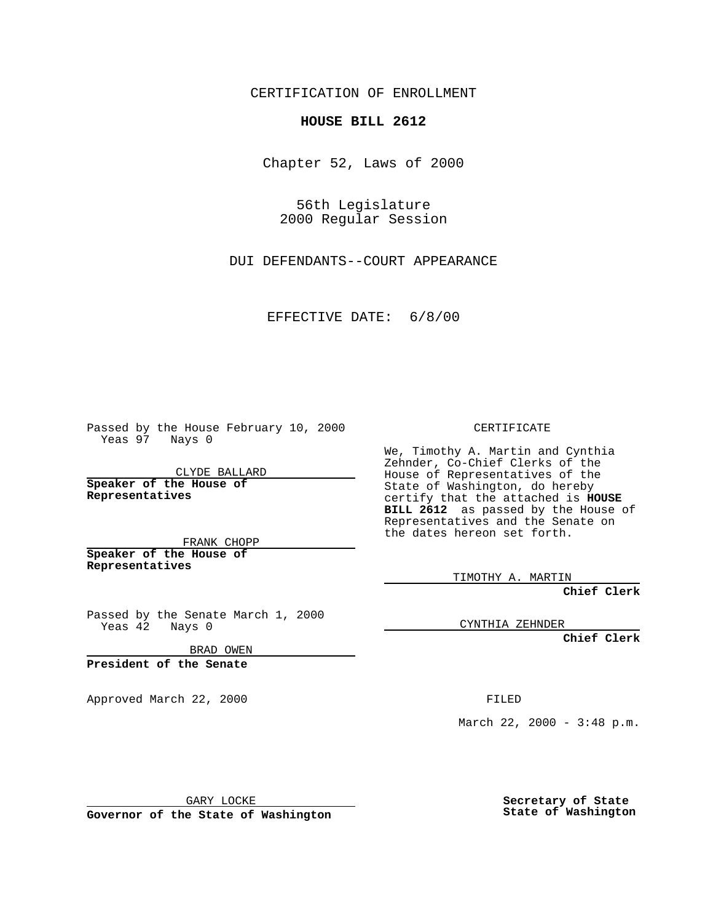CERTIFICATION OF ENROLLMENT

## **HOUSE BILL 2612**

Chapter 52, Laws of 2000

56th Legislature 2000 Regular Session

DUI DEFENDANTS--COURT APPEARANCE

EFFECTIVE DATE: 6/8/00

Passed by the House February 10, 2000 Yeas 97 Nays 0

CLYDE BALLARD **Speaker of the House of Representatives**

FRANK CHOPP **Speaker of the House of**

**Representatives**

Passed by the Senate March 1, 2000 Yeas 42 Nays 0

BRAD OWEN

**President of the Senate**

Approved March 22, 2000 FILED

CERTIFICATE

We, Timothy A. Martin and Cynthia Zehnder, Co-Chief Clerks of the House of Representatives of the State of Washington, do hereby certify that the attached is **HOUSE BILL 2612** as passed by the House of Representatives and the Senate on the dates hereon set forth.

TIMOTHY A. MARTIN

**Chief Clerk**

CYNTHIA ZEHNDER

**Chief Clerk**

March 22, 2000 - 3:48 p.m.

GARY LOCKE

**Governor of the State of Washington**

**Secretary of State State of Washington**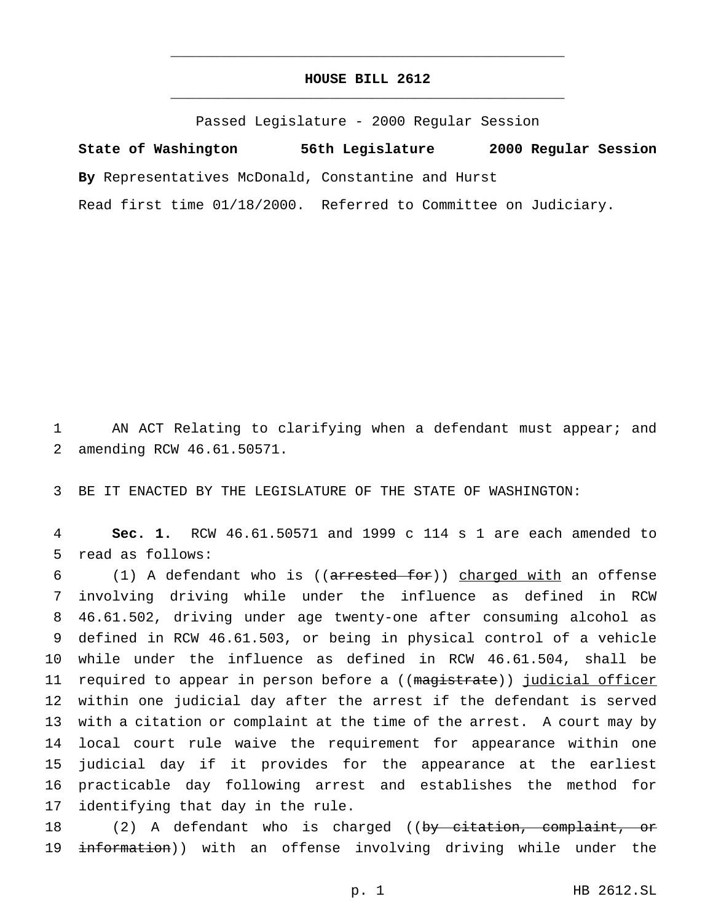## **HOUSE BILL 2612** \_\_\_\_\_\_\_\_\_\_\_\_\_\_\_\_\_\_\_\_\_\_\_\_\_\_\_\_\_\_\_\_\_\_\_\_\_\_\_\_\_\_\_\_\_\_\_

\_\_\_\_\_\_\_\_\_\_\_\_\_\_\_\_\_\_\_\_\_\_\_\_\_\_\_\_\_\_\_\_\_\_\_\_\_\_\_\_\_\_\_\_\_\_\_

Passed Legislature - 2000 Regular Session

**State of Washington 56th Legislature 2000 Regular Session By** Representatives McDonald, Constantine and Hurst Read first time 01/18/2000. Referred to Committee on Judiciary.

1 AN ACT Relating to clarifying when a defendant must appear; and 2 amending RCW 46.61.50571.

3 BE IT ENACTED BY THE LEGISLATURE OF THE STATE OF WASHINGTON:

4 **Sec. 1.** RCW 46.61.50571 and 1999 c 114 s 1 are each amended to 5 read as follows:

 (1) A defendant who is ((arrested for)) charged with an offense involving driving while under the influence as defined in RCW 46.61.502, driving under age twenty-one after consuming alcohol as defined in RCW 46.61.503, or being in physical control of a vehicle while under the influence as defined in RCW 46.61.504, shall be 11 required to appear in person before a ((magistrate)) judicial officer within one judicial day after the arrest if the defendant is served with a citation or complaint at the time of the arrest. A court may by local court rule waive the requirement for appearance within one judicial day if it provides for the appearance at the earliest practicable day following arrest and establishes the method for identifying that day in the rule.

18 (2) A defendant who is charged ((by citation, complaint, or 19 information)) with an offense involving driving while under the